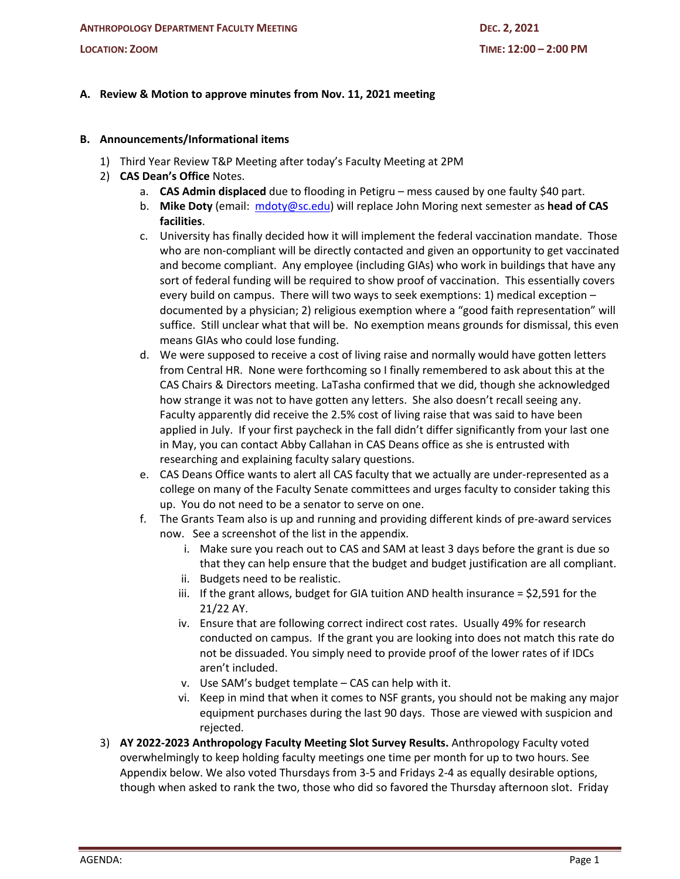# **A. Review & Motion to approve minutes from Nov. 11, 2021 meeting**

## **B. Announcements/Informational items**

- 1) Third Year Review T&P Meeting after today's Faculty Meeting at 2PM
- 2) **CAS Dean's Office** Notes.
	- a. **CAS Admin displaced** due to flooding in Petigru mess caused by one faulty \$40 part.
	- b. **Mike Doty** (email: mdoty@sc.edu) will replace John Moring next semester as **head of CAS facilities**.
	- c. University has finally decided how it will implement the federal vaccination mandate. Those who are non-compliant will be directly contacted and given an opportunity to get vaccinated and become compliant. Any employee (including GIAs) who work in buildings that have any sort of federal funding will be required to show proof of vaccination. This essentially covers every build on campus. There will two ways to seek exemptions: 1) medical exception – documented by a physician; 2) religious exemption where a "good faith representation" will suffice. Still unclear what that will be. No exemption means grounds for dismissal, this even means GIAs who could lose funding.
	- d. We were supposed to receive a cost of living raise and normally would have gotten letters from Central HR. None were forthcoming so I finally remembered to ask about this at the CAS Chairs & Directors meeting. LaTasha confirmed that we did, though she acknowledged how strange it was not to have gotten any letters. She also doesn't recall seeing any. Faculty apparently did receive the 2.5% cost of living raise that was said to have been applied in July. If your first paycheck in the fall didn't differ significantly from your last one in May, you can contact Abby Callahan in CAS Deans office as she is entrusted with researching and explaining faculty salary questions.
	- e. CAS Deans Office wants to alert all CAS faculty that we actually are under-represented as a college on many of the Faculty Senate committees and urges faculty to consider taking this up. You do not need to be a senator to serve on one.
	- f. The Grants Team also is up and running and providing different kinds of pre-award services now. See a screenshot of the list in the appendix.
		- i. Make sure you reach out to CAS and SAM at least 3 days before the grant is due so that they can help ensure that the budget and budget justification are all compliant.
		- ii. Budgets need to be realistic.
		- iii. If the grant allows, budget for GIA tuition AND health insurance = \$2,591 for the 21/22 AY.
		- iv. Ensure that are following correct indirect cost rates. Usually 49% for research conducted on campus. If the grant you are looking into does not match this rate do not be dissuaded. You simply need to provide proof of the lower rates of if IDCs aren't included.
		- v. Use SAM's budget template CAS can help with it.
		- vi. Keep in mind that when it comes to NSF grants, you should not be making any major equipment purchases during the last 90 days. Those are viewed with suspicion and rejected.
- 3) **AY 2022-2023 Anthropology Faculty Meeting Slot Survey Results.** Anthropology Faculty voted overwhelmingly to keep holding faculty meetings one time per month for up to two hours. See Appendix below. We also voted Thursdays from 3-5 and Fridays 2-4 as equally desirable options, though when asked to rank the two, those who did so favored the Thursday afternoon slot. Friday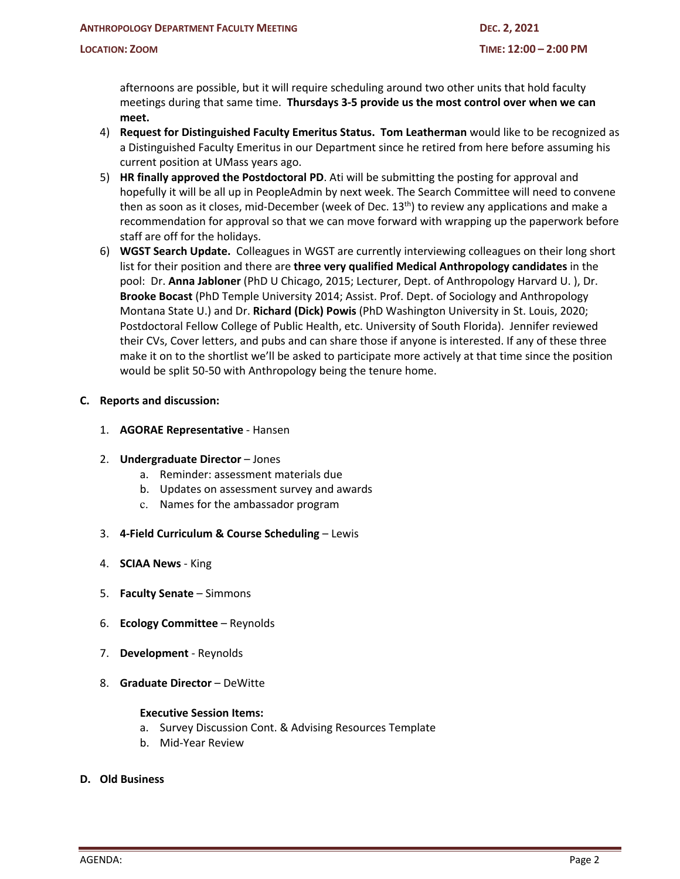afternoons are possible, but it will require scheduling around two other units that hold faculty meetings during that same time. **Thursdays 3-5 provide us the most control over when we can meet.**

- 4) **Request for Distinguished Faculty Emeritus Status. Tom Leatherman** would like to be recognized as a Distinguished Faculty Emeritus in our Department since he retired from here before assuming his current position at UMass years ago.
- 5) **HR finally approved the Postdoctoral PD**. Ati will be submitting the posting for approval and hopefully it will be all up in PeopleAdmin by next week. The Search Committee will need to convene then as soon as it closes, mid-December (week of Dec.  $13<sup>th</sup>$ ) to review any applications and make a recommendation for approval so that we can move forward with wrapping up the paperwork before staff are off for the holidays.
- 6) **WGST Search Update.** Colleagues in WGST are currently interviewing colleagues on their long short list for their position and there are **three very qualified Medical Anthropology candidates** in the pool: Dr. **Anna Jabloner** (PhD U Chicago, 2015; Lecturer, Dept. of Anthropology Harvard U. ), Dr. **Brooke Bocast** (PhD Temple University 2014; Assist. Prof. Dept. of Sociology and Anthropology Montana State U.) and Dr. **Richard (Dick) Powis** (PhD Washington University in St. Louis, 2020; Postdoctoral Fellow College of Public Health, etc. University of South Florida). Jennifer reviewed their CVs, Cover letters, and pubs and can share those if anyone is interested. If any of these three make it on to the shortlist we'll be asked to participate more actively at that time since the position would be split 50-50 with Anthropology being the tenure home.

#### **C. Reports and discussion:**

1. **AGORAE Representative** - Hansen

#### 2. **Undergraduate Director** – Jones

- a. Reminder: assessment materials due
- b. Updates on assessment survey and awards
- c. Names for the ambassador program
- 3. **4-Field Curriculum & Course Scheduling** Lewis
- 4. **SCIAA News** King
- 5. **Faculty Senate** Simmons
- 6. **Ecology Committee** Reynolds
- 7. **Development** Reynolds
- 8. **Graduate Director** DeWitte

#### **Executive Session Items:**

- a. Survey Discussion Cont. & Advising Resources Template
- b. Mid-Year Review

#### **D. Old Business**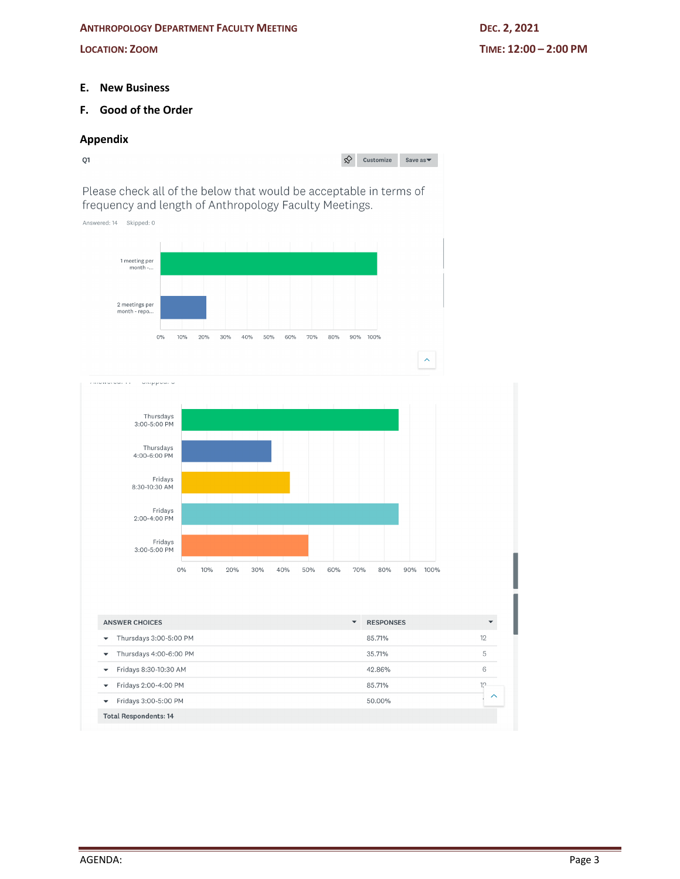#### **ANTHROPOLOGY DEPARTMENT FACULTY MEETING DEC. 2, 2021**

### **E. New Business**

# **F. Good of the Order**

### **Appendix**



Please check all of the below that would be acceptable in terms of frequency and length of Anthropology Faculty Meetings.





| <b>ANSWER CHOICES</b>                              | <b>RESPONSES</b><br>$\blacktriangledown$ |        |
|----------------------------------------------------|------------------------------------------|--------|
| Thursdays 3:00-5:00 PM<br>$\overline{\phantom{a}}$ | 85.71%                                   | 12     |
| Thursdays 4:00-6:00 PM<br>$\overline{\phantom{a}}$ | 35.71%                                   | 5      |
| Fridays 8:30-10:30 AM<br>$\overline{\phantom{a}}$  | 42.86%                                   | 6      |
| Fridays 2:00-4:00 PM<br>$\overline{\phantom{a}}$   | 85.71%                                   | 10     |
| Fridays 3:00-5:00 PM<br>$\overline{\phantom{a}}$   | 50.00%                                   | $\sim$ |
| <b>Total Respondents: 14</b>                       |                                          |        |